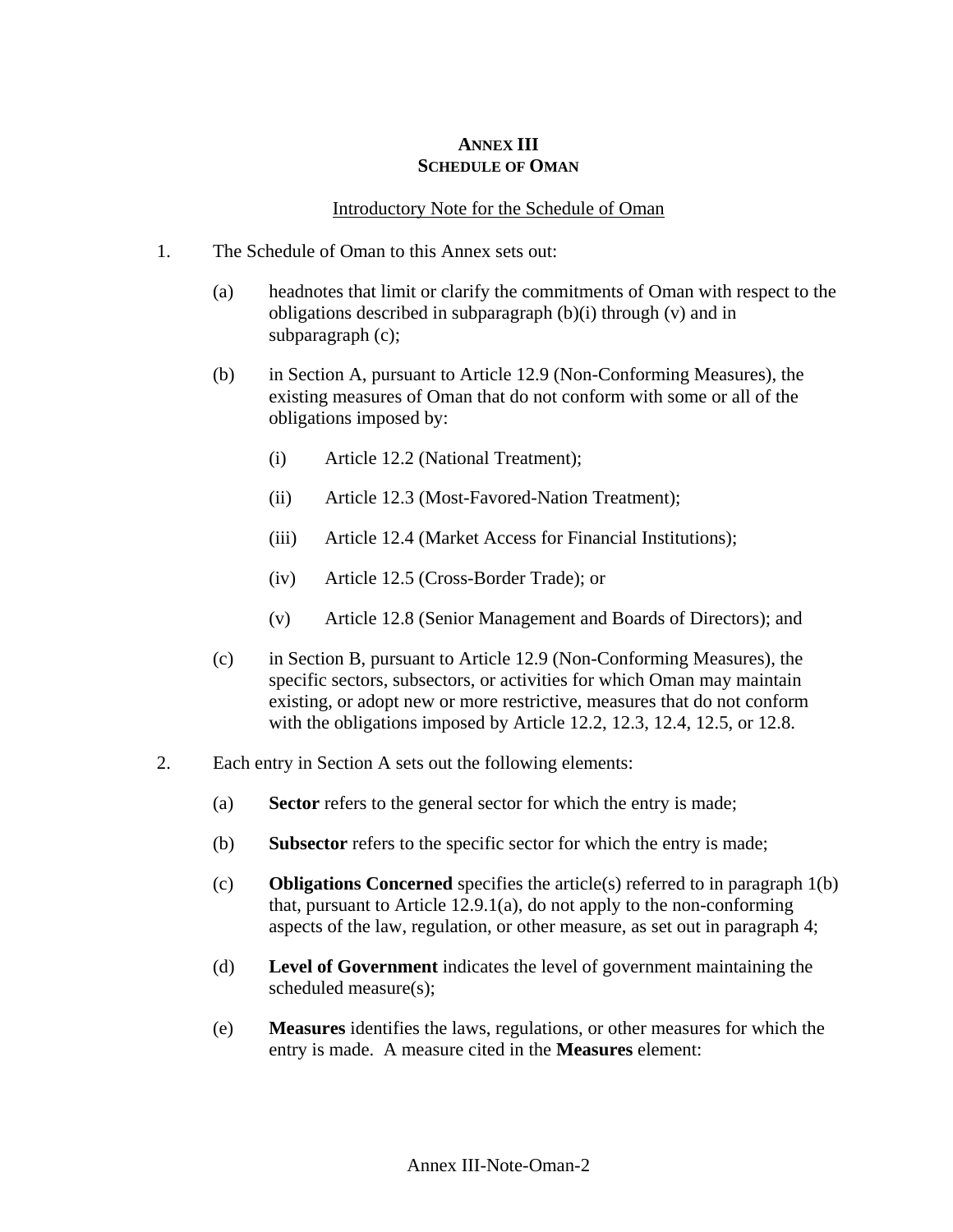## **ANNEX III SCHEDULE OF OMAN**

## Introductory Note for the Schedule of Oman

- 1. The Schedule of Oman to this Annex sets out:
	- (a) headnotes that limit or clarify the commitments of Oman with respect to the obligations described in subparagraph (b)(i) through (v) and in subparagraph (c);
	- (b) in Section A, pursuant to Article 12.9 (Non-Conforming Measures), the existing measures of Oman that do not conform with some or all of the obligations imposed by:
		- (i) Article 12.2 (National Treatment);
		- (ii) Article 12.3 (Most-Favored-Nation Treatment);
		- (iii) Article 12.4 (Market Access for Financial Institutions);
		- (iv) Article 12.5 (Cross-Border Trade); or
		- (v) Article 12.8 (Senior Management and Boards of Directors); and
	- (c) in Section B, pursuant to Article 12.9 (Non-Conforming Measures), the specific sectors, subsectors, or activities for which Oman may maintain existing, or adopt new or more restrictive, measures that do not conform with the obligations imposed by Article 12.2, 12.3, 12.4, 12.5, or 12.8.
- 2. Each entry in Section A sets out the following elements:
	- (a) **Sector** refers to the general sector for which the entry is made;
	- (b) **Subsector** refers to the specific sector for which the entry is made;
	- (c) **Obligations Concerned** specifies the article(s) referred to in paragraph 1(b) that, pursuant to Article 12.9.1(a), do not apply to the non-conforming aspects of the law, regulation, or other measure, as set out in paragraph 4;
	- (d) **Level of Government** indicates the level of government maintaining the scheduled measure(s);
	- (e) **Measures** identifies the laws, regulations, or other measures for which the entry is made. A measure cited in the **Measures** element: